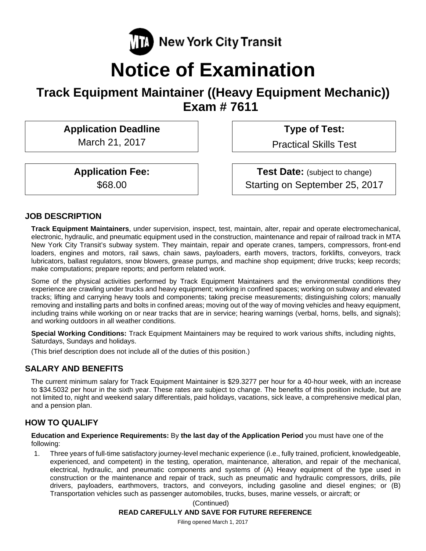

# **Notice of Examination**

# **Track Equipment Maintainer ((Heavy Equipment Mechanic)) Exam # 7611**

Application Deadline **Type of Test:** 

March 21, 2017 | Practical Skills Test

**Application Fee:** Test Date: (subject to change) \$68.00 Starting on September 25, 2017

# **JOB DESCRIPTION**

**Track Equipment Maintainers**, under supervision, inspect, test, maintain, alter, repair and operate electromechanical, electronic, hydraulic, and pneumatic equipment used in the construction, maintenance and repair of railroad track in MTA New York City Transit's subway system. They maintain, repair and operate cranes, tampers, compressors, front-end loaders, engines and motors, rail saws, chain saws, payloaders, earth movers, tractors, forklifts, conveyors, track lubricators, ballast regulators, snow blowers, grease pumps, and machine shop equipment; drive trucks; keep records; make computations; prepare reports; and perform related work.

Some of the physical activities performed by Track Equipment Maintainers and the environmental conditions they experience are crawling under trucks and heavy equipment; working in confined spaces; working on subway and elevated tracks; lifting and carrying heavy tools and components; taking precise measurements; distinguishing colors; manually removing and installing parts and bolts in confined areas; moving out of the way of moving vehicles and heavy equipment, including trains while working on or near tracks that are in service; hearing warnings (verbal, horns, bells, and signals); and working outdoors in all weather conditions.

**Special Working Conditions:** Track Equipment Maintainers may be required to work various shifts, including nights, Saturdays, Sundays and holidays.

(This brief description does not include all of the duties of this position.)

# **SALARY AND BENEFITS**

The current minimum salary for Track Equipment Maintainer is \$29.3277 per hour for a 40-hour week, with an increase to \$34.5032 per hour in the sixth year. These rates are subject to change. The benefits of this position include, but are not limited to, night and weekend salary differentials, paid holidays, vacations, sick leave, a comprehensive medical plan, and a pension plan.

# **HOW TO QUALIFY**

**Education and Experience Requirements:** By **the last day of the Application Period** you must have one of the following:

1. Three years of full-time satisfactory journey-level mechanic experience (i.e., fully trained, proficient, knowledgeable, experienced, and competent) in the testing, operation, maintenance, alteration, and repair of the mechanical, electrical, hydraulic, and pneumatic components and systems of (A) Heavy equipment of the type used in construction or the maintenance and repair of track, such as pneumatic and hydraulic compressors, drills, pile drivers, payloaders, earthmovers, tractors, and conveyors, including gasoline and diesel engines; or (B) Transportation vehicles such as passenger automobiles, trucks, buses, marine vessels, or aircraft; or

(Continued)

#### **READ CAREFULLY AND SAVE FOR FUTURE REFERENCE**

Filing opened March 1, 2017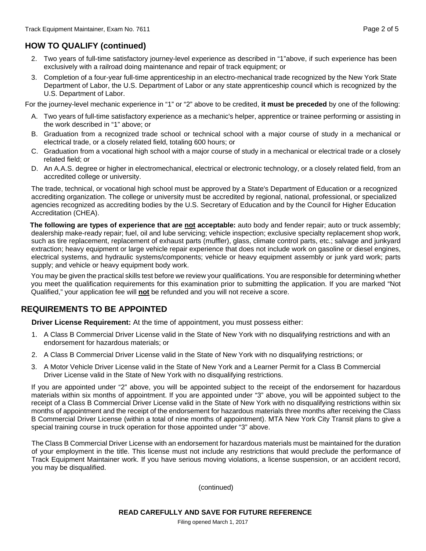# **HOW TO QUALIFY (continued)**

- 2. Two years of full-time satisfactory journey-level experience as described in "1"above, if such experience has been exclusively with a railroad doing maintenance and repair of track equipment; or
- 3. Completion of a four-year full-time apprenticeship in an electro-mechanical trade recognized by the New York State Department of Labor, the U.S. Department of Labor or any state apprenticeship council which is recognized by the U.S. Department of Labor.

For the journey-level mechanic experience in "1" or "2" above to be credited, **it must be preceded** by one of the following:

- A. Two years of full-time satisfactory experience as a mechanic's helper, apprentice or trainee performing or assisting in the work described in "1" above; or
- B. Graduation from a recognized trade school or technical school with a major course of study in a mechanical or electrical trade, or a closely related field, totaling 600 hours; or
- C. Graduation from a vocational high school with a major course of study in a mechanical or electrical trade or a closely related field; or
- D. An A.A.S. degree or higher in electromechanical, electrical or electronic technology, or a closely related field, from an accredited college or university.

The trade, technical, or vocational high school must be approved by a State's Department of Education or a recognized accrediting organization. The college or university must be accredited by regional, national, professional, or specialized agencies recognized as accrediting bodies by the U.S. Secretary of Education and by the Council for Higher Education Accreditation (CHEA).

The following are types of experience that are not acceptable: auto body and fender repair; auto or truck assembly; dealership make-ready repair; fuel, oil and lube servicing; vehicle inspection; exclusive specialty replacement shop work, such as tire replacement, replacement of exhaust parts (muffler), glass, climate control parts, etc.; salvage and junkyard extraction; heavy equipment or large vehicle repair experience that does not include work on gasoline or diesel engines, electrical systems, and hydraulic systems/components; vehicle or heavy equipment assembly or junk yard work; parts supply; and vehicle or heavy equipment body work.

You may be given the practical skills test before we review your qualifications. You are responsible for determining whether you meet the qualification requirements for this examination prior to submitting the application. If you are marked "Not Qualified," your application fee will **not** be refunded and you will not receive a score.

# **REQUIREMENTS TO BE APPOINTED**

**Driver License Requirement:** At the time of appointment, you must possess either:

- 1. A Class B Commercial Driver License valid in the State of New York with no disqualifying restrictions and with an endorsement for hazardous materials; or
- 2. A Class B Commercial Driver License valid in the State of New York with no disqualifying restrictions; or
- 3. A Motor Vehicle Driver License valid in the State of New York and a Learner Permit for a Class B Commercial Driver License valid in the State of New York with no disqualifying restrictions.

If you are appointed under "2" above, you will be appointed subject to the receipt of the endorsement for hazardous materials within six months of appointment. If you are appointed under "3" above, you will be appointed subject to the receipt of a Class B Commercial Driver License valid in the State of New York with no disqualifying restrictions within six months of appointment and the receipt of the endorsement for hazardous materials three months after receiving the Class B Commercial Driver License (within a total of nine months of appointment). MTA New York City Transit plans to give a special training course in truck operation for those appointed under "3" above.

The Class B Commercial Driver License with an endorsement for hazardous materials must be maintained for the duration of your employment in the title. This license must not include any restrictions that would preclude the performance of Track Equipment Maintainer work. If you have serious moving violations, a license suspension, or an accident record, you may be disqualified.

(continued)

Filing opened March 1, 2017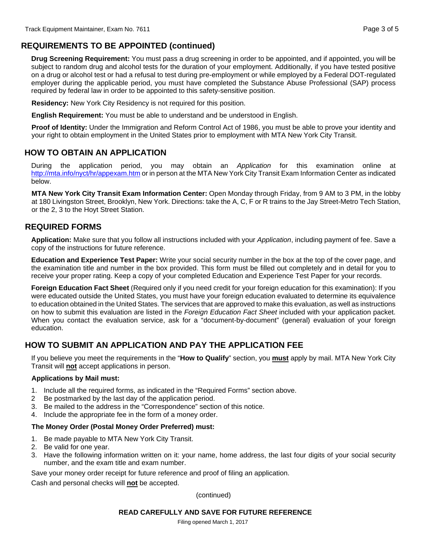# **REQUIREMENTS TO BE APPOINTED (continued)**

**Drug Screening Requirement:** You must pass a drug screening in order to be appointed, and if appointed, you will be subject to random drug and alcohol tests for the duration of your employment. Additionally, if you have tested positive on a drug or alcohol test or had a refusal to test during pre-employment or while employed by a Federal DOT-regulated employer during the applicable period, you must have completed the Substance Abuse Professional (SAP) process required by federal law in order to be appointed to this safety-sensitive position.

**Residency:** New York City Residency is not required for this position.

**English Requirement:** You must be able to understand and be understood in English.

**Proof of Identity:** Under the Immigration and Reform Control Act of 1986, you must be able to prove your identity and your right to obtain employment in the United States prior to employment with MTA New York City Transit.

# **HOW TO OBTAIN AN APPLICATION**

During the application period, you may obtain an *Application* for this examination online at http://mta.info/nyct/hr/appexam.htm or in person at the MTA New York City Transit Exam Information Center as indicated below.

**MTA New York City Transit Exam Information Center:** Open Monday through Friday, from 9 AM to 3 PM, in the lobby at 180 Livingston Street, Brooklyn, New York. Directions: take the A, C, F or R trains to the Jay Street-Metro Tech Station, or the 2, 3 to the Hoyt Street Station.

# **REQUIRED FORMS**

**Application:** Make sure that you follow all instructions included with your *Application*, including payment of fee. Save a copy of the instructions for future reference.

**Education and Experience Test Paper:** Write your social security number in the box at the top of the cover page, and the examination title and number in the box provided. This form must be filled out completely and in detail for you to receive your proper rating. Keep a copy of your completed Education and Experience Test Paper for your records.

**Foreign Education Fact Sheet** (Required only if you need credit for your foreign education for this examination): If you were educated outside the United States, you must have your foreign education evaluated to determine its equivalence to education obtained in the United States. The services that are approved to make this evaluation, as well as instructions on how to submit this evaluation are listed in the *Foreign Education Fact Sheet* included with your application packet. When you contact the evaluation service, ask for a "document-by-document" (general) evaluation of your foreign education.

# **HOW TO SUBMIT AN APPLICATION AND PAY THE APPLICATION FEE**

If you believe you meet the requirements in the "**How to Qualify**" section, you **must** apply by mail. MTA New York City Transit will **not** accept applications in person.

#### **Applications by Mail must:**

- 1. Include all the required forms, as indicated in the "Required Forms" section above.
- 2 Be postmarked by the last day of the application period.
- 3. Be mailed to the address in the "Correspondence" section of this notice.
- 4. Include the appropriate fee in the form of a money order.

#### **The Money Order (Postal Money Order Preferred) must:**

- 1. Be made payable to MTA New York City Transit.
- 2. Be valid for one year.
- 3. Have the following information written on it: your name, home address, the last four digits of your social security number, and the exam title and exam number.

Save your money order receipt for future reference and proof of filing an application.

Cash and personal checks will **not** be accepted.

(continued)

#### **READ CAREFULLY AND SAVE FOR FUTURE REFERENCE**

Filing opened March 1, 2017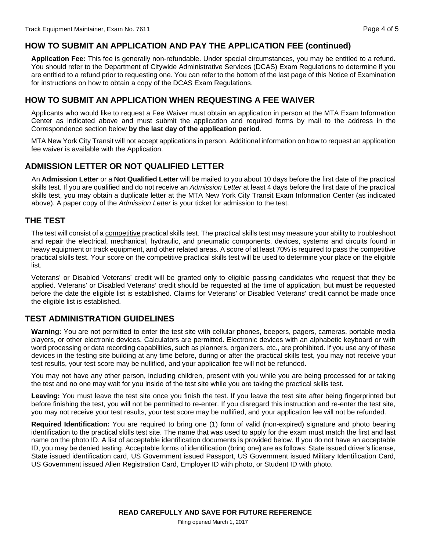# **HOW TO SUBMIT AN APPLICATION AND PAY THE APPLICATION FEE (continued)**

**Application Fee:** This fee is generally non-refundable. Under special circumstances, you may be entitled to a refund. You should refer to the Department of Citywide Administrative Services (DCAS) Exam Regulations to determine if you are entitled to a refund prior to requesting one. You can refer to the bottom of the last page of this Notice of Examination for instructions on how to obtain a copy of the DCAS Exam Regulations.

## **HOW TO SUBMIT AN APPLICATION WHEN REQUESTING A FEE WAIVER**

Applicants who would like to request a Fee Waiver must obtain an application in person at the MTA Exam Information Center as indicated above and must submit the application and required forms by mail to the address in the Correspondence section below **by the last day of the application period**.

MTA New York City Transit will not accept applications in person. Additional information on how to request an application fee waiver is available with the Application.

# **ADMISSION LETTER OR NOT QUALIFIED LETTER**

An **Admission Letter** or a **Not Qualified Letter** will be mailed to you about 10 days before the first date of the practical skills test. If you are qualified and do not receive an *Admission Letter* at least 4 days before the first date of the practical skills test, you may obtain a duplicate letter at the MTA New York City Transit Exam Information Center (as indicated above). A paper copy of the *Admission Letter* is your ticket for admission to the test.

### **THE TEST**

The test will consist of a competitive practical skills test. The practical skills test may measure your ability to troubleshoot and repair the electrical, mechanical, hydraulic, and pneumatic components, devices, systems and circuits found in heavy equipment or track equipment, and other related areas. A score of at least 70% is required to pass the competitive practical skills test. Your score on the competitive practical skills test will be used to determine your place on the eligible list.

Veterans' or Disabled Veterans' credit will be granted only to eligible passing candidates who request that they be applied. Veterans' or Disabled Veterans' credit should be requested at the time of application, but **must** be requested before the date the eligible list is established. Claims for Veterans' or Disabled Veterans' credit cannot be made once the eligible list is established.

# **TEST ADMINISTRATION GUIDELINES**

**Warning:** You are not permitted to enter the test site with cellular phones, beepers, pagers, cameras, portable media players, or other electronic devices. Calculators are permitted. Electronic devices with an alphabetic keyboard or with word processing or data recording capabilities, such as planners, organizers, etc., are prohibited. If you use any of these devices in the testing site building at any time before, during or after the practical skills test, you may not receive your test results, your test score may be nullified, and your application fee will not be refunded.

You may not have any other person, including children, present with you while you are being processed for or taking the test and no one may wait for you inside of the test site while you are taking the practical skills test.

**Leaving:** You must leave the test site once you finish the test. If you leave the test site after being fingerprinted but before finishing the test, you will not be permitted to re-enter. If you disregard this instruction and re-enter the test site, you may not receive your test results, your test score may be nullified, and your application fee will not be refunded.

**Required Identification:** You are required to bring one (1) form of valid (non-expired) signature and photo bearing identification to the practical skills test site. The name that was used to apply for the exam must match the first and last name on the photo ID. A list of acceptable identification documents is provided below. If you do not have an acceptable ID, you may be denied testing. Acceptable forms of identification (bring one) are as follows: State issued driver's license, State issued identification card, US Government issued Passport, US Government issued Military Identification Card, US Government issued Alien Registration Card, Employer ID with photo, or Student ID with photo.